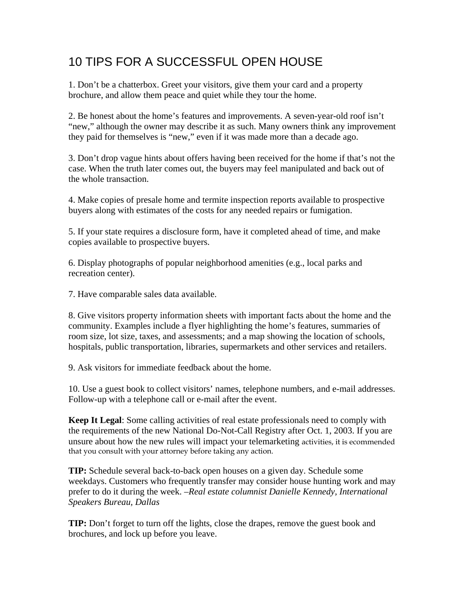## 10 TIPS FOR A SUCCESSFUL OPEN HOUSE

1. Don't be a chatterbox. Greet your visitors, give them your card and a property brochure, and allow them peace and quiet while they tour the home.

2. Be honest about the home's features and improvements. A seven-year-old roof isn't "new," although the owner may describe it as such. Many owners think any improvement they paid for themselves is "new," even if it was made more than a decade ago.

3. Don't drop vague hints about offers having been received for the home if that's not the case. When the truth later comes out, the buyers may feel manipulated and back out of the whole transaction.

4. Make copies of presale home and termite inspection reports available to prospective buyers along with estimates of the costs for any needed repairs or fumigation.

5. If your state requires a disclosure form, have it completed ahead of time, and make copies available to prospective buyers.

6. Display photographs of popular neighborhood amenities (e.g., local parks and recreation center).

7. Have comparable sales data available.

8. Give visitors property information sheets with important facts about the home and the community. Examples include a flyer highlighting the home's features, summaries of room size, lot size, taxes, and assessments; and a map showing the location of schools, hospitals, public transportation, libraries, supermarkets and other services and retailers.

9. Ask visitors for immediate feedback about the home.

10. Use a guest book to collect visitors' names, telephone numbers, and e-mail addresses. Follow-up with a telephone call or e-mail after the event.

**Keep It Legal**: Some calling activities of real estate professionals need to comply with the requirements of the new National Do-Not-Call Registry after Oct. 1, 2003. If you are unsure about how the new rules will impact your telemarketing activities, it is ecommended that you consult with your attorney before taking any action.

**TIP:** Schedule several back-to-back open houses on a given day. Schedule some weekdays. Customers who frequently transfer may consider house hunting work and may prefer to do it during the week. –*Real estate columnist Danielle Kennedy, International Speakers Bureau, Dallas*

**TIP:** Don't forget to turn off the lights, close the drapes, remove the guest book and brochures, and lock up before you leave.